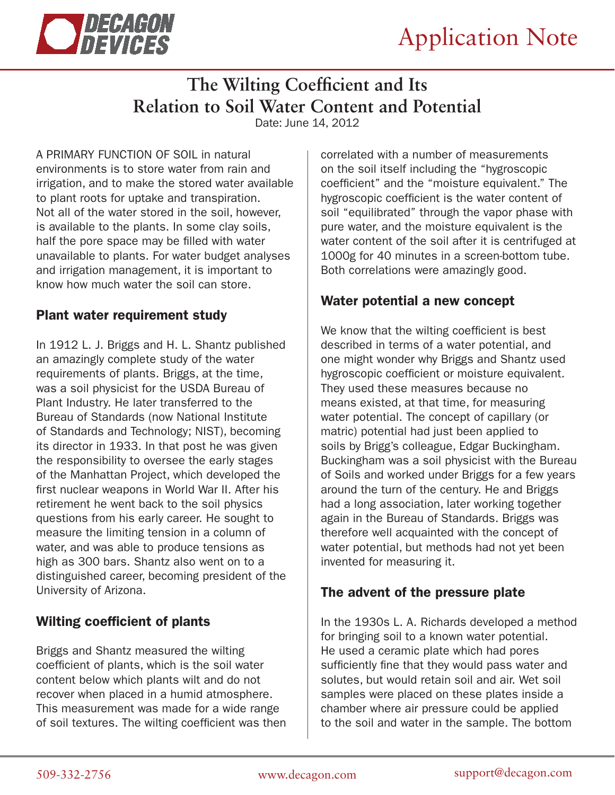

# **The Wilting Coefficient and Its Relation to Soil Water Content and Potential**

Date: June 14, 2012

A PRIMARY FUNCTION OF SOIL in natural environments is to store water from rain and irrigation, and to make the stored water available to plant roots for uptake and transpiration. Not all of the water stored in the soil, however, is available to the plants. In some clay soils, half the pore space may be filled with water unavailable to plants. For water budget analyses and irrigation management, it is important to know how much water the soil can store.

### Plant water requirement study

In 1912 L. J. Briggs and H. L. Shantz published an amazingly complete study of the water requirements of plants. Briggs, at the time, was a soil physicist for the USDA Bureau of Plant Industry. He later transferred to the Bureau of Standards (now National Institute of Standards and Technology; NIST), becoming its director in 1933. In that post he was given the responsibility to oversee the early stages of the Manhattan Project, which developed the first nuclear weapons in World War II. After his retirement he went back to the soil physics questions from his early career. He sought to measure the limiting tension in a column of water, and was able to produce tensions as high as 300 bars. Shantz also went on to a distinguished career, becoming president of the University of Arizona.

# Wilting coefficient of plants

Briggs and Shantz measured the wilting coefficient of plants, which is the soil water content below which plants wilt and do not recover when placed in a humid atmosphere. This measurement was made for a wide range of soil textures. The wilting coefficient was then

correlated with a number of measurements on the soil itself including the "hygroscopic coefficient" and the "moisture equivalent." The hygroscopic coefficient is the water content of soil "equilibrated" through the vapor phase with pure water, and the moisture equivalent is the water content of the soil after it is centrifuged at 1000g for 40 minutes in a screen-bottom tube. Both correlations were amazingly good.

# Water potential a new concept

We know that the wilting coefficient is best described in terms of a water potential, and one might wonder why Briggs and Shantz used hygroscopic coefficient or moisture equivalent. They used these measures because no means existed, at that time, for measuring water potential. The concept of capillary (or matric) potential had just been applied to soils by Brigg's colleague, Edgar Buckingham. Buckingham was a soil physicist with the Bureau of Soils and worked under Briggs for a few years around the turn of the century. He and Briggs had a long association, later working together again in the Bureau of Standards. Briggs was therefore well acquainted with the concept of water potential, but methods had not yet been invented for measuring it.

# The advent of the pressure plate

In the 1930s L. A. Richards developed a method for bringing soil to a known water potential. He used a ceramic plate which had pores sufficiently fine that they would pass water and solutes, but would retain soil and air. Wet soil samples were placed on these plates inside a chamber where air pressure could be applied to the soil and water in the sample. The bottom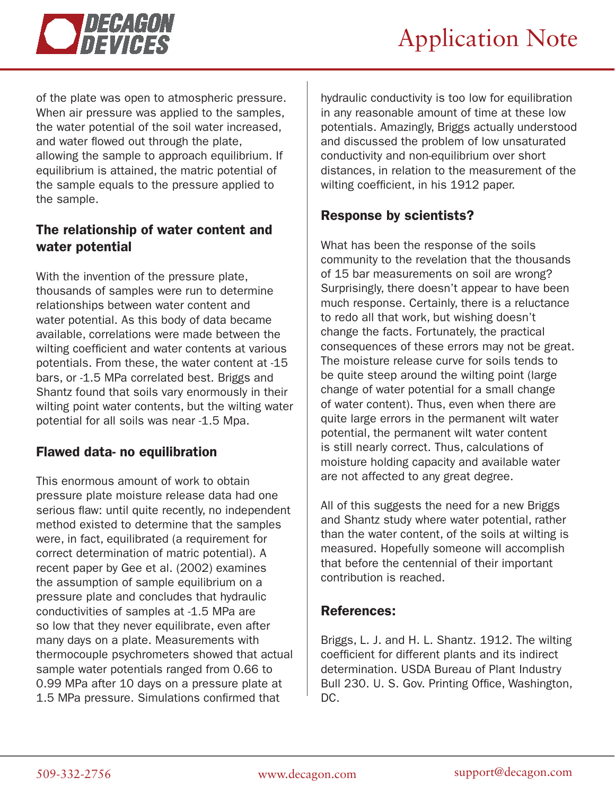



of the plate was open to atmospheric pressure. When air pressure was applied to the samples, the water potential of the soil water increased, and water flowed out through the plate, allowing the sample to approach equilibrium. If equilibrium is attained, the matric potential of the sample equals to the pressure applied to the sample.

#### The relationship of water content and water potential

With the invention of the pressure plate, thousands of samples were run to determine relationships between water content and water potential. As this body of data became available, correlations were made between the wilting coefficient and water contents at various potentials. From these, the water content at -15 bars, or -1.5 MPa correlated best. Briggs and Shantz found that soils vary enormously in their wilting point water contents, but the wilting water potential for all soils was near -1.5 Mpa.

#### Flawed data- no equilibration

This enormous amount of work to obtain pressure plate moisture release data had one serious flaw: until quite recently, no independent method existed to determine that the samples were, in fact, equilibrated (a requirement for correct determination of matric potential). A recent paper by Gee et al. (2002) examines the assumption of sample equilibrium on a pressure plate and concludes that hydraulic conductivities of samples at -1.5 MPa are so low that they never equilibrate, even after many days on a plate. Measurements with thermocouple psychrometers showed that actual sample water potentials ranged from 0.66 to 0.99 MPa after 10 days on a pressure plate at 1.5 MPa pressure. Simulations confirmed that

hydraulic conductivity is too low for equilibration in any reasonable amount of time at these low potentials. Amazingly, Briggs actually understood and discussed the problem of low unsaturated conductivity and non-equilibrium over short distances, in relation to the measurement of the wilting coefficient, in his 1912 paper.

#### Response by scientists?

What has been the response of the soils community to the revelation that the thousands of 15 bar measurements on soil are wrong? Surprisingly, there doesn't appear to have been much response. Certainly, there is a reluctance to redo all that work, but wishing doesn't change the facts. Fortunately, the practical consequences of these errors may not be great. The moisture release curve for soils tends to be quite steep around the wilting point (large change of water potential for a small change of water content). Thus, even when there are quite large errors in the permanent wilt water potential, the permanent wilt water content is still nearly correct. Thus, calculations of moisture holding capacity and available water are not affected to any great degree.

All of this suggests the need for a new Briggs and Shantz study where water potential, rather than the water content, of the soils at wilting is measured. Hopefully someone will accomplish that before the centennial of their important contribution is reached.

#### References:

Briggs, L. J. and H. L. Shantz. 1912. The wilting coefficient for different plants and its indirect determination. USDA Bureau of Plant Industry Bull 230. U. S. Gov. Printing Office, Washington, DC.